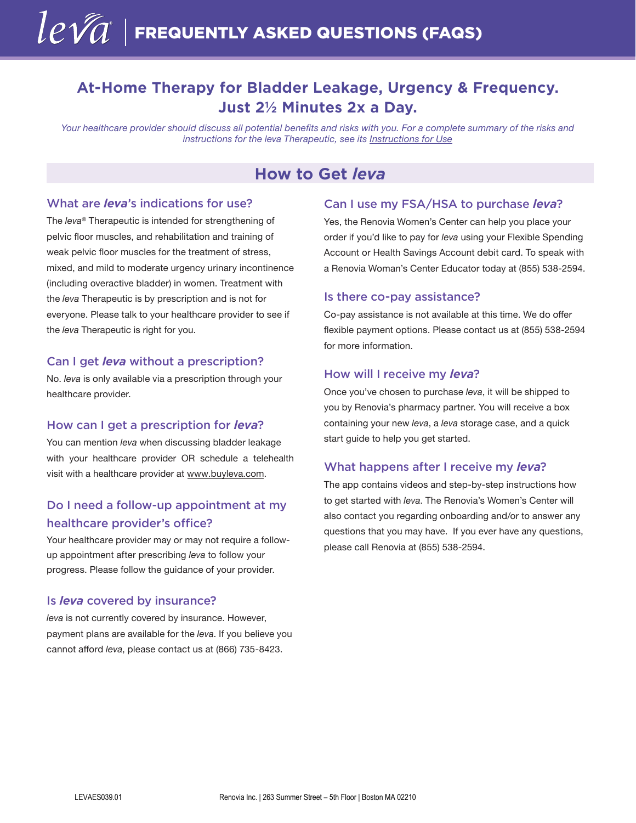# **At-Home Therapy for Bladder Leakage, Urgency & Frequency. Just 2½ Minutes 2x a Day.**

*Your healthcare provider should discuss all potential benefits and risks with you. For a complete summary of the risks and instructions for the leva Therapeutic, see its [Instructions for Use](https://renoviainc.com/leva-digital-therapeutic-instructions-for-use/)*

# **How to Get** *leva*

## What are *leva*'s indications for use?

The *leva*® Therapeutic is intended for strengthening of pelvic floor muscles, and rehabilitation and training of weak pelvic floor muscles for the treatment of stress, mixed, and mild to moderate urgency urinary incontinence (including overactive bladder) in women. Treatment with the *leva* Therapeutic is by prescription and is not for everyone. Please talk to your healthcare provider to see if the *leva* Therapeutic is right for you.

#### Can I get *leva* without a prescription?

No. *leva* is only available via a prescription through your healthcare provider.

#### How can I get a prescription for *leva*?

You can mention *leva* when discussing bladder leakage with your healthcare provider OR schedule a telehealth visit with a healthcare provider at [www.buyleva.com.](https://www.buyleva.com/)

# Do I need a follow-up appointment at my healthcare provider's office?

Your healthcare provider may or may not require a followup appointment after prescribing *leva* to follow your progress. Please follow the guidance of your provider.

### Is *leva* covered by insurance?

*leva* is not currently covered by insurance. However, payment plans are available for the *leva*. If you believe you cannot afford *leva*, please contact us at (866) 735-8423.

## Can I use my FSA/HSA to purchase *leva*?

Yes, the Renovia Women's Center can help you place your order if you'd like to pay for *leva* using your Flexible Spending Account or Health Savings Account debit card. To speak with a Renovia Woman's Center Educator today at (855) 538-2594.

#### Is there co-pay assistance?

Co-pay assistance is not available at this time. We do offer flexible payment options. Please contact us at (855) 538-2594 for more information.

#### How will I receive my *leva*?

Once you've chosen to purchase *leva*, it will be shipped to you by Renovia's pharmacy partner. You will receive a box containing your new *leva*, a *leva* storage case, and a quick start guide to help you get started.

### What happens after I receive my *leva*?

The app contains videos and step-by-step instructions how to get started with *leva*. The Renovia's Women's Center will also contact you regarding onboarding and/or to answer any questions that you may have. If you ever have any questions, please call Renovia at (855) 538-2594.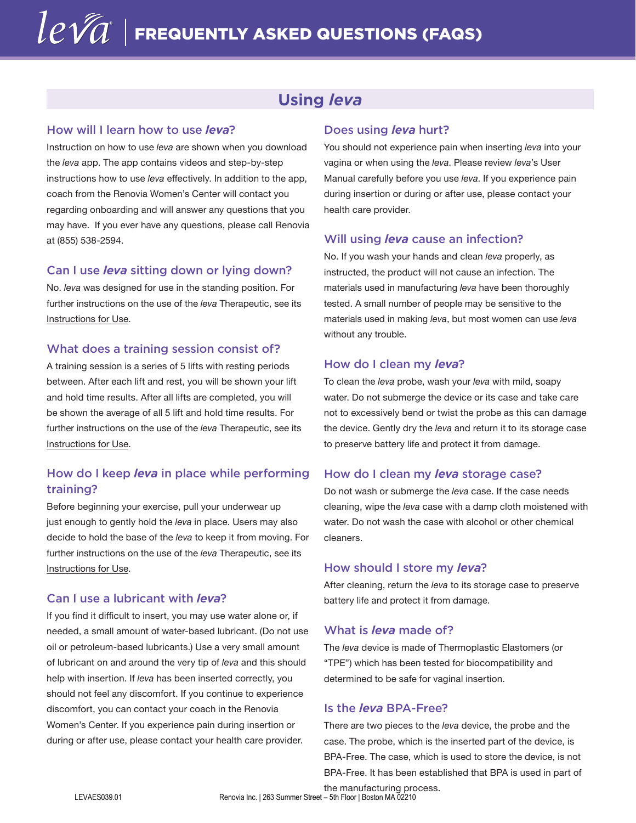# **Using** *leva*

### How will I learn how to use *leva*?

Instruction on how to use *leva* are shown when you download the *leva* app. The app contains videos and step-by-step instructions how to use *leva* effectively. In addition to the app, coach from the Renovia Women's Center will contact you regarding onboarding and will answer any questions that you may have. If you ever have any questions, please call Renovia at (855) 538-2594.

### Can I use *leva* sitting down or lying down?

No. *leva* was designed for use in the standing position. For further instructions on the use of the *leva* Therapeutic, see its [Instructions for Use.](https://renoviainc.com/leva-digital-therapeutic-instructions-for-use/) 

### What does a training session consist of?

A training session is a series of 5 lifts with resting periods between. After each lift and rest, you will be shown your lift and hold time results. After all lifts are completed, you will be shown the average of all 5 lift and hold time results. For further instructions on the use of the *leva* Therapeutic, see its [Instructions for Use.](https://renoviainc.com/leva-digital-therapeutic-instructions-for-use/)

# How do I keep *leva* in place while performing training?

Before beginning your exercise, pull your underwear up just enough to gently hold the *leva* in place. Users may also decide to hold the base of the *leva* to keep it from moving. For further instructions on the use of the *leva* Therapeutic, see its [Instructions for Use.](https://renoviainc.com/leva-digital-therapeutic-instructions-for-use/)

### Can I use a lubricant with *leva*?

If you find it difficult to insert, you may use water alone or, if needed, a small amount of water-based lubricant. (Do not use oil or petroleum-based lubricants.) Use a very small amount of lubricant on and around the very tip of *leva* and this should help with insertion. If *leva* has been inserted correctly, you should not feel any discomfort. If you continue to experience discomfort, you can contact your coach in the Renovia Women's Center. If you experience pain during insertion or during or after use, please contact your health care provider.

### Does using *leva* hurt?

You should not experience pain when inserting *leva* into your vagina or when using the *leva*. Please review *leva*'s User Manual carefully before you use *leva*. If you experience pain during insertion or during or after use, please contact your health care provider.

### Will using *leva* cause an infection?

No. If you wash your hands and clean *leva* properly, as instructed, the product will not cause an infection. The materials used in manufacturing *leva* have been thoroughly tested. A small number of people may be sensitive to the materials used in making *leva*, but most women can use *leva* without any trouble.

#### How do I clean my *leva*?

To clean the *leva* probe, wash your *leva* with mild, soapy water. Do not submerge the device or its case and take care not to excessively bend or twist the probe as this can damage the device. Gently dry the *leva* and return it to its storage case to preserve battery life and protect it from damage.

### How do I clean my *leva* storage case?

Do not wash or submerge the *leva* case. If the case needs cleaning, wipe the *leva* case with a damp cloth moistened with water. Do not wash the case with alcohol or other chemical cleaners.

### How should I store my *leva*?

After cleaning, return the *leva* to its storage case to preserve battery life and protect it from damage.

### What is *leva* made of?

The *leva* device is made of Thermoplastic Elastomers (or "TPE") which has been tested for biocompatibility and determined to be safe for vaginal insertion.

### Is the *leva* BPA-Free?

There are two pieces to the *leva* device, the probe and the case. The probe, which is the inserted part of the device, is BPA-Free. The case, which is used to store the device, is not BPA-Free. It has been established that BPA is used in part of

the manufacturing process. LEVAES039.01 Renovia Inc. | 263 Summer Street – 5th Floor | Boston MA 02210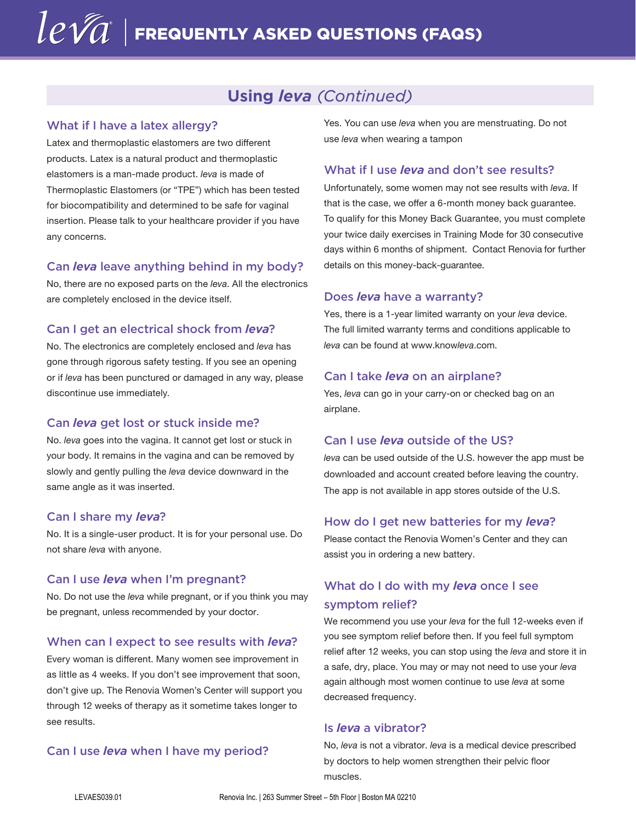# **Using** *leva (Continued)*

## What if I have a latex allergy?

Latex and thermoplastic elastomers are two different products. Latex is a natural product and thermoplastic elastomers is a man-made product. *leva* is made of Thermoplastic Elastomers (or "TPE") which has been tested for biocompatibility and determined to be safe for vaginal insertion. Please talk to your healthcare provider if you have any concerns.

#### Can *leva* leave anything behind in my body?

No, there are no exposed parts on the *leva*. All the electronics are completely enclosed in the device itself.

### Can I get an electrical shock from *leva*?

No. The electronics are completely enclosed and *leva* has gone through rigorous safety testing. If you see an opening or if *leva* has been punctured or damaged in any way, please discontinue use immediately.

#### Can *leva* get lost or stuck inside me?

No. *leva* goes into the vagina. It cannot get lost or stuck in your body. It remains in the vagina and can be removed by slowly and gently pulling the *leva* device downward in the same angle as it was inserted.

#### Can I share my *leva*?

No. It is a single-user product. It is for your personal use. Do not share *leva* with anyone.

#### Can I use *leva* when I'm pregnant?

No. Do not use the *leva* while pregnant, or if you think you may be pregnant, unless recommended by your doctor.

#### When can I expect to see results with *leva*?

Every woman is different. Many women see improvement in as little as 4 weeks. If you don't see improvement that soon, don't give up. The Renovia Women's Center will support you through 12 weeks of therapy as it sometime takes longer to see results.

#### Can I use *leva* when I have my period?

Yes. You can use *leva* when you are menstruating. Do not use *leva* when wearing a tampon

### What if I use *leva* and don't see results?

Unfortunately, some women may not see results with *leva*. If that is the case, we offer a 6-month money back guarantee. To qualify for this Money Back Guarantee, you must complete your twice daily exercises in Training Mode for 30 consecutive days within 6 months of shipment. Contact Renovia for further details on this money-back-guarantee.

#### Does *leva* have a warranty?

Yes, there is a 1-year limited warranty on your *leva* device. The full limited warranty terms and conditions applicable to *leva* can be found at www.know*leva*.com.

#### Can I take *leva* on an airplane?

Yes, *leva* can go in your carry-on or checked bag on an airplane.

### Can I use *leva* outside of the US?

*leva* can be used outside of the U.S. however the app must be downloaded and account created before leaving the country. The app is not available in app stores outside of the U.S.

#### How do I get new batteries for my *leva*?

Please contact the Renovia Women's Center and they can assist you in ordering a new battery.

# What do I do with my *leva* once I see symptom relief?

We recommend you use your *leva* for the full 12-weeks even if you see symptom relief before then. If you feel full symptom relief after 12 weeks, you can stop using the *leva* and store it in a safe, dry, place. You may or may not need to use your *leva* again although most women continue to use *leva* at some decreased frequency.

#### Is *leva* a vibrator?

No, *leva* is not a vibrator. *leva* is a medical device prescribed by doctors to help women strengthen their pelvic floor muscles.